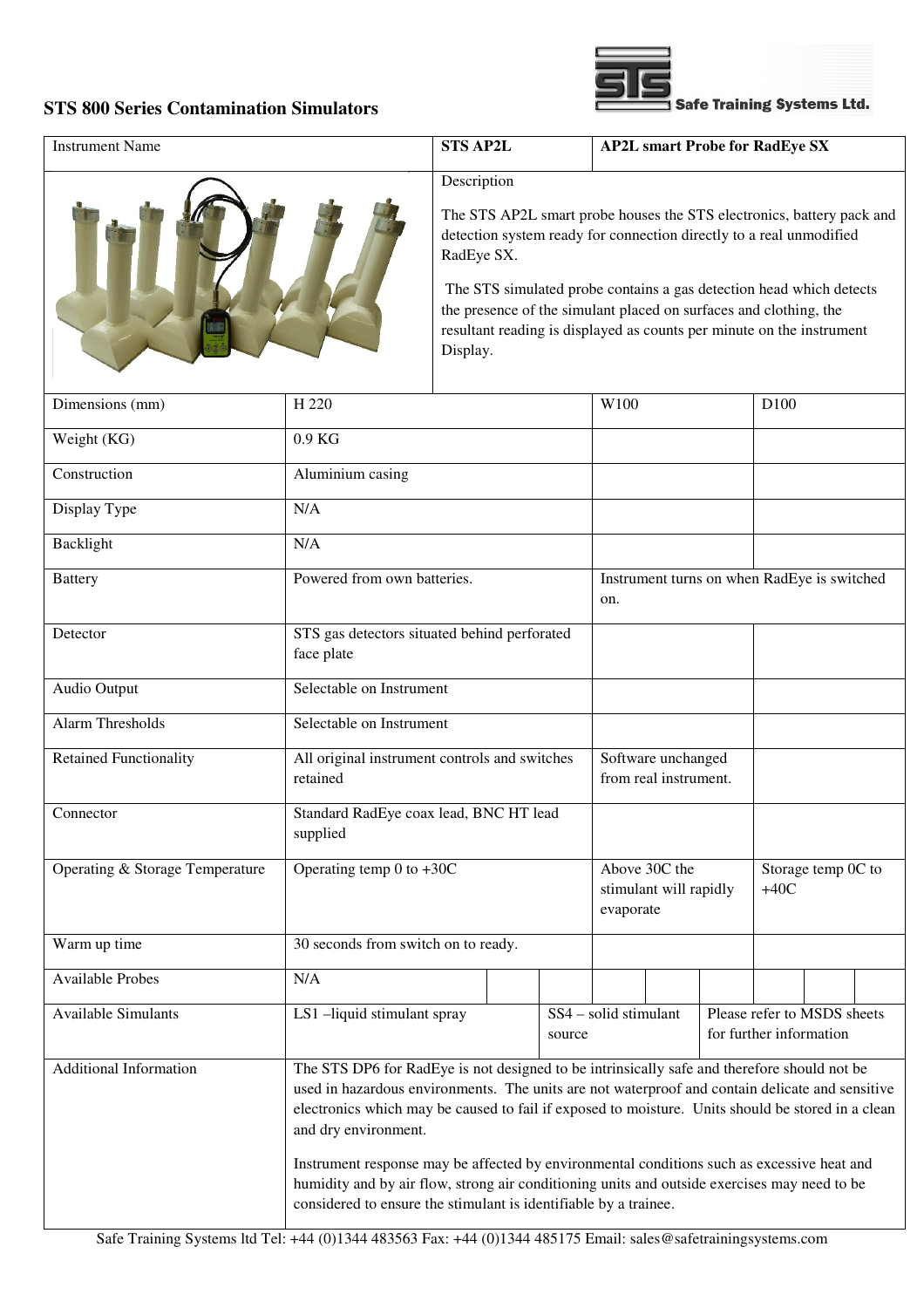## **STS 800 Series Contamination Simulators**



| <b>Instrument Name</b>                                                                                                                                                                                                                                                                                                                                       |                                                                                                                                                                                                                                                                | <b>STS AP2L</b>                                                                                                                                                                                                               |  | <b>AP2L smart Probe for RadEye SX</b>              |                              |  |                  |  |  |
|--------------------------------------------------------------------------------------------------------------------------------------------------------------------------------------------------------------------------------------------------------------------------------------------------------------------------------------------------------------|----------------------------------------------------------------------------------------------------------------------------------------------------------------------------------------------------------------------------------------------------------------|-------------------------------------------------------------------------------------------------------------------------------------------------------------------------------------------------------------------------------|--|----------------------------------------------------|------------------------------|--|------------------|--|--|
|                                                                                                                                                                                                                                                                                                                                                              |                                                                                                                                                                                                                                                                | Description                                                                                                                                                                                                                   |  |                                                    |                              |  |                  |  |  |
|                                                                                                                                                                                                                                                                                                                                                              |                                                                                                                                                                                                                                                                | The STS AP2L smart probe houses the STS electronics, battery pack and<br>detection system ready for connection directly to a real unmodified<br>RadEye SX.                                                                    |  |                                                    |                              |  |                  |  |  |
|                                                                                                                                                                                                                                                                                                                                                              |                                                                                                                                                                                                                                                                | The STS simulated probe contains a gas detection head which detects<br>the presence of the simulant placed on surfaces and clothing, the<br>resultant reading is displayed as counts per minute on the instrument<br>Display. |  |                                                    |                              |  |                  |  |  |
| Dimensions (mm)                                                                                                                                                                                                                                                                                                                                              | H 220                                                                                                                                                                                                                                                          |                                                                                                                                                                                                                               |  | W100                                               |                              |  | D <sub>100</sub> |  |  |
| Weight (KG)                                                                                                                                                                                                                                                                                                                                                  | 0.9 KG                                                                                                                                                                                                                                                         |                                                                                                                                                                                                                               |  |                                                    |                              |  |                  |  |  |
| Construction                                                                                                                                                                                                                                                                                                                                                 | Aluminium casing                                                                                                                                                                                                                                               |                                                                                                                                                                                                                               |  |                                                    |                              |  |                  |  |  |
| Display Type                                                                                                                                                                                                                                                                                                                                                 | N/A                                                                                                                                                                                                                                                            |                                                                                                                                                                                                                               |  |                                                    |                              |  |                  |  |  |
| Backlight                                                                                                                                                                                                                                                                                                                                                    | N/A                                                                                                                                                                                                                                                            |                                                                                                                                                                                                                               |  |                                                    |                              |  |                  |  |  |
| <b>Battery</b>                                                                                                                                                                                                                                                                                                                                               | Powered from own batteries.                                                                                                                                                                                                                                    |                                                                                                                                                                                                                               |  | Instrument turns on when RadEye is switched<br>on. |                              |  |                  |  |  |
| Detector                                                                                                                                                                                                                                                                                                                                                     | STS gas detectors situated behind perforated<br>face plate                                                                                                                                                                                                     |                                                                                                                                                                                                                               |  |                                                    |                              |  |                  |  |  |
| Audio Output                                                                                                                                                                                                                                                                                                                                                 | Selectable on Instrument                                                                                                                                                                                                                                       |                                                                                                                                                                                                                               |  |                                                    |                              |  |                  |  |  |
| <b>Alarm Thresholds</b>                                                                                                                                                                                                                                                                                                                                      | Selectable on Instrument                                                                                                                                                                                                                                       |                                                                                                                                                                                                                               |  |                                                    |                              |  |                  |  |  |
| <b>Retained Functionality</b>                                                                                                                                                                                                                                                                                                                                | All original instrument controls and switches<br>retained                                                                                                                                                                                                      | Software unchanged<br>from real instrument.                                                                                                                                                                                   |  |                                                    |                              |  |                  |  |  |
| Connector                                                                                                                                                                                                                                                                                                                                                    | Standard RadEye coax lead, BNC HT lead<br>supplied                                                                                                                                                                                                             |                                                                                                                                                                                                                               |  |                                                    |                              |  |                  |  |  |
| Operating & Storage Temperature                                                                                                                                                                                                                                                                                                                              | Operating temp 0 to $+30C$                                                                                                                                                                                                                                     | Above 30C the<br>stimulant will rapidly<br>evaporate                                                                                                                                                                          |  |                                                    | Storage temp 0C to<br>$+40C$ |  |                  |  |  |
| Warm up time                                                                                                                                                                                                                                                                                                                                                 | 30 seconds from switch on to ready.                                                                                                                                                                                                                            |                                                                                                                                                                                                                               |  |                                                    |                              |  |                  |  |  |
| <b>Available Probes</b>                                                                                                                                                                                                                                                                                                                                      | N/A                                                                                                                                                                                                                                                            |                                                                                                                                                                                                                               |  |                                                    |                              |  |                  |  |  |
| <b>Available Simulants</b>                                                                                                                                                                                                                                                                                                                                   | LS1-liquid stimulant spray                                                                                                                                                                                                                                     | SS4 - solid stimulant<br>Please refer to MSDS sheets<br>for further information<br>source                                                                                                                                     |  |                                                    |                              |  |                  |  |  |
| <b>Additional Information</b><br>The STS DP6 for RadEye is not designed to be intrinsically safe and therefore should not be<br>used in hazardous environments. The units are not waterproof and contain delicate and sensitive<br>electronics which may be caused to fail if exposed to moisture. Units should be stored in a clean<br>and dry environment. |                                                                                                                                                                                                                                                                |                                                                                                                                                                                                                               |  |                                                    |                              |  |                  |  |  |
|                                                                                                                                                                                                                                                                                                                                                              | Instrument response may be affected by environmental conditions such as excessive heat and<br>humidity and by air flow, strong air conditioning units and outside exercises may need to be<br>considered to ensure the stimulant is identifiable by a trainee. |                                                                                                                                                                                                                               |  |                                                    |                              |  |                  |  |  |